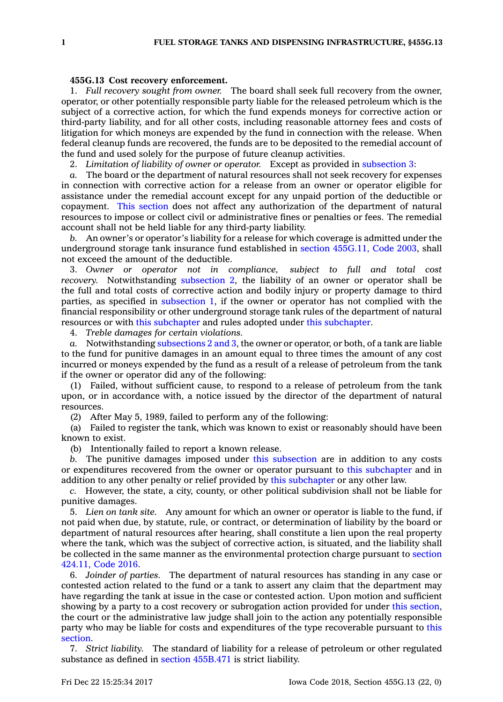## **455G.13 Cost recovery enforcement.**

1. *Full recovery sought from owner.* The board shall seek full recovery from the owner, operator, or other potentially responsible party liable for the released petroleum which is the subject of <sup>a</sup> corrective action, for which the fund expends moneys for corrective action or third-party liability, and for all other costs, including reasonable attorney fees and costs of litigation for which moneys are expended by the fund in connection with the release. When federal cleanup funds are recovered, the funds are to be deposited to the remedial account of the fund and used solely for the purpose of future cleanup activities.

2. *Limitation of liability of owner or operator.* Except as provided in [subsection](https://www.legis.iowa.gov/docs/code/455G.13.pdf) 3:

*a.* The board or the department of natural resources shall not seek recovery for expenses in connection with corrective action for <sup>a</sup> release from an owner or operator eligible for assistance under the remedial account except for any unpaid portion of the deductible or copayment. This [section](https://www.legis.iowa.gov/docs/code/455G.13.pdf) does not affect any authorization of the department of natural resources to impose or collect civil or administrative fines or penalties or fees. The remedial account shall not be held liable for any third-party liability.

*b.* An owner's or operator's liability for <sup>a</sup> release for which coverage is admitted under the underground storage tank insurance fund established in section [455G.11,](https://www.legis.iowa.gov/docs/code/2003/455G.11.pdf) Code 2003, shall not exceed the amount of the deductible.

3. *Owner or operator not in compliance, subject to full and total cost recovery.* Notwithstanding [subsection](https://www.legis.iowa.gov/docs/code/455G.13.pdf) 2, the liability of an owner or operator shall be the full and total costs of corrective action and bodily injury or property damage to third parties, as specified in [subsection](https://www.legis.iowa.gov/docs/code/455G.13.pdf) 1, if the owner or operator has not complied with the financial responsibility or other underground storage tank rules of the department of natural resources or with this [subchapter](https://www.legis.iowa.gov/docs/code//455G.pdf) and rules adopted under this [subchapter](https://www.legis.iowa.gov/docs/code//455G.pdf).

4. *Treble damages for certain violations.*

*a.* Notwithstanding [subsections](https://www.legis.iowa.gov/docs/code/455G.13.pdf) 2 and 3, the owner or operator, or both, of <sup>a</sup> tank are liable to the fund for punitive damages in an amount equal to three times the amount of any cost incurred or moneys expended by the fund as <sup>a</sup> result of <sup>a</sup> release of petroleum from the tank if the owner or operator did any of the following:

(1) Failed, without sufficient cause, to respond to <sup>a</sup> release of petroleum from the tank upon, or in accordance with, <sup>a</sup> notice issued by the director of the department of natural resources.

(2) After May 5, 1989, failed to perform any of the following:

(a) Failed to register the tank, which was known to exist or reasonably should have been known to exist.

(b) Intentionally failed to report <sup>a</sup> known release.

*b.* The punitive damages imposed under this [subsection](https://www.legis.iowa.gov/docs/code/455G.13.pdf) are in addition to any costs or expenditures recovered from the owner or operator pursuant to this [subchapter](https://www.legis.iowa.gov/docs/code//455G.pdf) and in addition to any other penalty or relief provided by this [subchapter](https://www.legis.iowa.gov/docs/code//455G.pdf) or any other law.

*c.* However, the state, <sup>a</sup> city, county, or other political subdivision shall not be liable for punitive damages.

5. *Lien on tank site.* Any amount for which an owner or operator is liable to the fund, if not paid when due, by statute, rule, or contract, or determination of liability by the board or department of natural resources after hearing, shall constitute <sup>a</sup> lien upon the real property where the tank, which was the subject of corrective action, is situated, and the liability shall be collected in the same manner as the environmental protection charge pursuant to [section](https://www.legis.iowa.gov/docs/code/2016/424.11.pdf) [424.11,](https://www.legis.iowa.gov/docs/code/2016/424.11.pdf) Code 2016.

6. *Joinder of parties.* The department of natural resources has standing in any case or contested action related to the fund or <sup>a</sup> tank to assert any claim that the department may have regarding the tank at issue in the case or contested action. Upon motion and sufficient showing by <sup>a</sup> party to <sup>a</sup> cost recovery or subrogation action provided for under this [section](https://www.legis.iowa.gov/docs/code/455G.13.pdf), the court or the administrative law judge shall join to the action any potentially responsible party who may be liable for costs and expenditures of the type recoverable pursuant to [this](https://www.legis.iowa.gov/docs/code/455G.13.pdf) [section](https://www.legis.iowa.gov/docs/code/455G.13.pdf).

7. *Strict liability.* The standard of liability for <sup>a</sup> release of petroleum or other regulated substance as defined in section [455B.471](https://www.legis.iowa.gov/docs/code/455B.471.pdf) is strict liability.